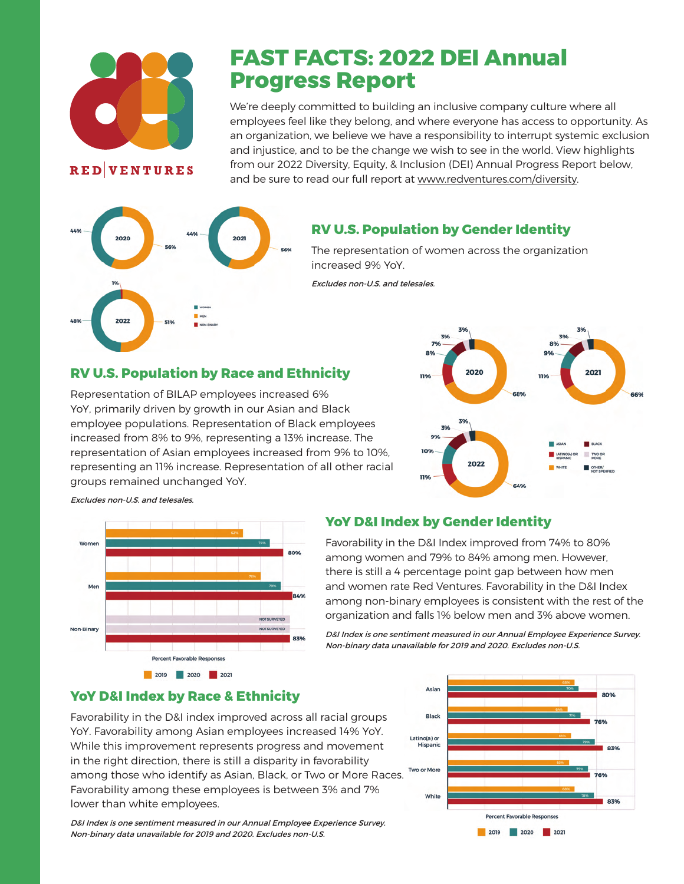

**RED**VENTURES

# **FAST FACTS: 2022 DEI Annual Progress Report**

We're deeply committed to building an inclusive company culture where all employees feel like they belong, and where everyone has access to opportunity. As an organization, we believe we have a responsibility to interrupt systemic exclusion and injustice, and to be the change we wish to see in the world. View highlights from our 2022 Diversity, Equity, & Inclusion (DEI) Annual Progress Report below, and be sure to read our full report at www.redventures.com/diversity.



### **RV U.S. Population by Gender Identity**

The representation of women across the organization increased 9% YoY.

Excludes non-U.S. and telesales.

### **RV U.S. Population by Race and Ethnicity**

Representation of BILAP employees increased 6% YoY, primarily driven by growth in our Asian and Black employee populations. Representation of Black employees increased from 8% to 9%, representing a 13% increase. The representation of Asian employees increased from 9% to 10%, representing an 11% increase. Representation of all other racial groups remained unchanged YoY.



Excludes non-U.S. and telesales.



#### **YoY D&I Index by Gender Identity**

Favorability in the D&I Index improved from 74% to 80% among women and 79% to 84% among men. However, there is still a 4 percentage point gap between how men and women rate Red Ventures. Favorability in the D&I Index among non-binary employees is consistent with the rest of the organization and falls 1% below men and 3% above women.

D&I Index is one sentiment measured in our Annual Employee Experience Survey. Non-binary data unavailable for 2019 and 2020. Excludes non-U.S.

#### **YoY D&I Index by Race & Ethnicity**

Favorability in the D&I index improved across all racial groups YoY. Favorability among Asian employees increased 14% YoY. While this improvement represents progress and movement in the right direction, there is still a disparity in favorability among those who identify as Asian, Black, or Two or More Races. Favorability among these employees is between 3% and 7% lower than white employees.

D&I Index is one sentiment measured in our Annual Employee Experience Survey. Non-binary data unavailable for 2019 and 2020. Excludes non-U.S.